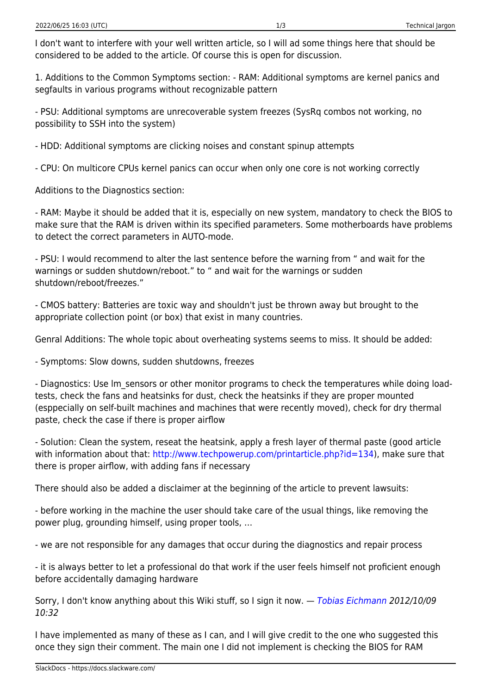I don't want to interfere with your well written article, so I will ad some things here that should be considered to be added to the article. Of course this is open for discussion.

1. Additions to the Common Symptoms section: - RAM: Additional symptoms are kernel panics and segfaults in various programs without recognizable pattern

- PSU: Additional symptoms are unrecoverable system freezes (SysRq combos not working, no possibility to SSH into the system)

- HDD: Additional symptoms are clicking noises and constant spinup attempts

- CPU: On multicore CPUs kernel panics can occur when only one core is not working correctly

Additions to the Diagnostics section:

- RAM: Maybe it should be added that it is, especially on new system, mandatory to check the BIOS to make sure that the RAM is driven within its specified parameters. Some motherboards have problems to detect the correct parameters in AUTO-mode.

- PSU: I would recommend to alter the last sentence before the warning from " and wait for the warnings or sudden shutdown/reboot." to " and wait for the warnings or sudden shutdown/reboot/freezes."

- CMOS battery: Batteries are toxic way and shouldn't just be thrown away but brought to the appropriate collection point (or box) that exist in many countries.

Genral Additions: The whole topic about overheating systems seems to miss. It should be added:

- Symptoms: Slow downs, sudden shutdowns, freezes

- Diagnostics: Use Im sensors or other monitor programs to check the temperatures while doing loadtests, check the fans and heatsinks for dust, check the heatsinks if they are proper mounted (esppecially on self-built machines and machines that were recently moved), check for dry thermal paste, check the case if there is proper airflow

- Solution: Clean the system, reseat the heatsink, apply a fresh layer of thermal paste (good article with information about that:<http://www.techpowerup.com/printarticle.php?id=134>), make sure that there is proper airflow, with adding fans if necessary

There should also be added a disclaimer at the beginning of the article to prevent lawsuits:

- before working in the machine the user should take care of the usual things, like removing the power plug, grounding himself, using proper tools, …

- we are not responsible for any damages that occur during the diagnostics and repair process

- it is always better to let a professional do that work if the user feels himself not proficient enough before accidentally damaging hardware

Sorry, I don't know anything about this Wiki stuff, so I sign it now. — [Tobias Eichmann](https://docs.slackware.com/wiki:user:tobisgd) 2012/10/09 10:32

I have implemented as many of these as I can, and I will give credit to the one who suggested this once they sign their comment. The main one I did not implement is checking the BIOS for RAM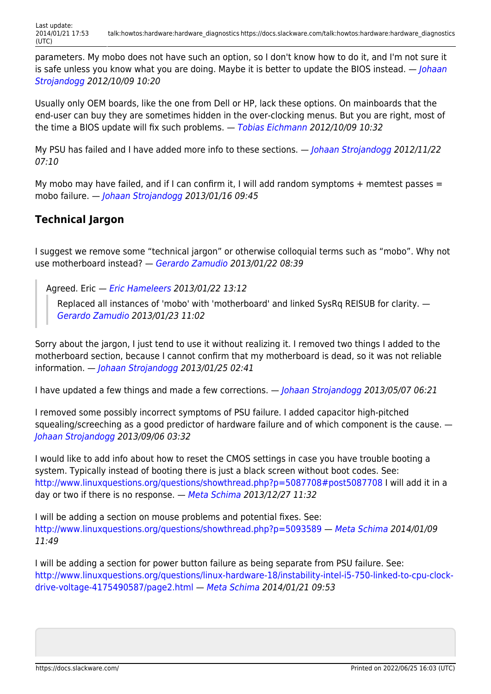parameters. My mobo does not have such an option, so I don't know how to do it, and I'm not sure it is safe unless you know what you are doing. Maybe it is better to update the BIOS instead. — *[Johaan](https://docs.slackware.com/wiki:user:htexmexh)* [Strojandogg](https://docs.slackware.com/wiki:user:htexmexh) 2012/10/09 10:20

Usually only OEM boards, like the one from Dell or HP, lack these options. On mainboards that the end-user can buy they are sometimes hidden in the over-clocking menus. But you are right, most of the time a BIOS update will fix such problems. — [Tobias Eichmann](https://docs.slackware.com/wiki:user:tobisgd) 2012/10/09 10:32

My PSU has failed and I have added more info to these sections. — *[Johaan Strojandogg](https://docs.slackware.com/wiki:user:htexmexh) 2012/11/22* 07:10

My mobo may have failed, and if I can confirm it, I will add random symptoms  $+$  memtest passes  $=$ mobo failure. — [Johaan Strojandogg](https://docs.slackware.com/wiki:user:htexmexh) 2013/01/16 09:45

## **Technical Jargon**

I suggest we remove some "technical jargon" or otherwise colloquial terms such as "mobo". Why not use motherboard instead? — [Gerardo Zamudio](https://docs.slackware.com/wiki:user:gerardo.zamudio) 2013/01/22 08:39

Agreed. Eric — *[Eric Hameleers](https://docs.slackware.com/wiki:user:alienbob) 2013/01/22 13:12* 

Replaced all instances of 'mobo' with 'motherboard' and linked SysRq REISUB for clarity. — [Gerardo Zamudio](https://docs.slackware.com/wiki:user:gerardo.zamudio) 2013/01/23 11:02

Sorry about the jargon, I just tend to use it without realizing it. I removed two things I added to the motherboard section, because I cannot confirm that my motherboard is dead, so it was not reliable information. — [Johaan Strojandogg](https://docs.slackware.com/wiki:user:htexmexh) 2013/01/25 02:41

I have updated a few things and made a few corrections. — [Johaan Strojandogg](https://docs.slackware.com/wiki:user:htexmexh) 2013/05/07 06:21

I removed some possibly incorrect symptoms of PSU failure. I added capacitor high-pitched squealing/screeching as a good predictor of hardware failure and of which component is the cause. — [Johaan Strojandogg](https://docs.slackware.com/wiki:user:htexmexh) 2013/09/06 03:32

I would like to add info about how to reset the CMOS settings in case you have trouble booting a system. Typically instead of booting there is just a black screen without boot codes. See: <http://www.linuxquestions.org/questions/showthread.php?p=5087708#post5087708> I will add it in a day or two if there is no response. — [Meta Schima](https://docs.slackware.com/wiki:user:metaschima) 2013/12/27 11:32

I will be adding a section on mouse problems and potential fixes. See: <http://www.linuxquestions.org/questions/showthread.php?p=5093589> — [Meta Schima](https://docs.slackware.com/wiki:user:metaschima) 2014/01/09 11:49

I will be adding a section for power button failure as being separate from PSU failure. See: [http://www.linuxquestions.org/questions/linux-hardware-18/instability-intel-i5-750-linked-to-cpu-clock](http://www.linuxquestions.org/questions/linux-hardware-18/instability-intel-i5-750-linked-to-cpu-clock-drive-voltage-4175490587/page2.html)[drive-voltage-4175490587/page2.html](http://www.linuxquestions.org/questions/linux-hardware-18/instability-intel-i5-750-linked-to-cpu-clock-drive-voltage-4175490587/page2.html) — [Meta Schima](https://docs.slackware.com/wiki:user:metaschima) 2014/01/21 09:53